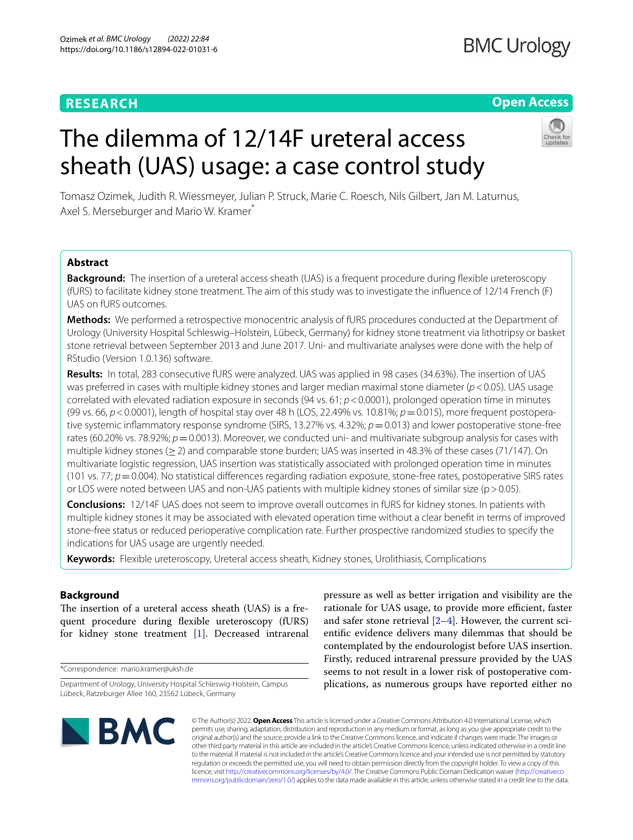# **RESEARCH**

# **Open Access**

# The dilemma of 12/14F ureteral access sheath (UAS) usage: a case control study

Tomasz Ozimek, Judith R. Wiessmeyer, Julian P. Struck, Marie C. Roesch, Nils Gilbert, Jan M. Laturnus, Axel S. Merseburger and Mario W. Kramer<sup>\*</sup>

# **Abstract**

**Background:** The insertion of a ureteral access sheath (UAS) is a frequent procedure during flexible ureteroscopy (fURS) to facilitate kidney stone treatment. The aim of this study was to investigate the infuence of 12/14 French (F) UAS on fURS outcomes.

**Methods:** We performed a retrospective monocentric analysis of fURS procedures conducted at the Department of Urology (University Hospital Schleswig–Holstein, Lübeck, Germany) for kidney stone treatment via lithotripsy or basket stone retrieval between September 2013 and June 2017. Uni- and multivariate analyses were done with the help of RStudio (Version 1.0.136) software.

**Results:** In total, 283 consecutive fURS were analyzed. UAS was applied in 98 cases (34.63%). The insertion of UAS was preferred in cases with multiple kidney stones and larger median maximal stone diameter (*p*<0.05). UAS usage correlated with elevated radiation exposure in seconds (94 vs. 61; *p*<0.0001), prolonged operation time in minutes (99 vs. 66, *p*<0.0001), length of hospital stay over 48 h (LOS, 22.49% vs. 10.81%; *p*=0.015), more frequent postoperative systemic inflammatory response syndrome (SIRS, 13.27% vs. 4.32%;  $p=0.013$ ) and lower postoperative stone-free rates (60.20% vs. 78.92%;  $p=0.0013$ ). Moreover, we conducted uni- and multivariate subgroup analysis for cases with multiple kidney stones (≥2) and comparable stone burden; UAS was inserted in 48.3% of these cases (71/147). On multivariate logistic regression, UAS insertion was statistically associated with prolonged operation time in minutes (101 vs. 77;  $p=0.004$ ). No statistical differences regarding radiation exposure, stone-free rates, postoperative SIRS rates or LOS were noted between UAS and non-UAS patients with multiple kidney stones of similar size ( $p > 0.05$ ).

**Conclusions:** 12/14F UAS does not seem to improve overall outcomes in fURS for kidney stones. In patients with multiple kidney stones it may be associated with elevated operation time without a clear beneft in terms of improved stone-free status or reduced perioperative complication rate. Further prospective randomized studies to specify the indications for UAS usage are urgently needed.

**Keywords:** Flexible ureteroscopy, Ureteral access sheath, Kidney stones, Urolithiasis, Complications

# **Background**

The insertion of a ureteral access sheath (UAS) is a frequent procedure during fexible ureteroscopy (fURS) for kidney stone treatment [\[1](#page-6-0)]. Decreased intrarenal

\*Correspondence: mario.kramer@uksh.de

pressure as well as better irrigation and visibility are the rationale for UAS usage, to provide more efficient, faster and safer stone retrieval  $[2-4]$  $[2-4]$ . However, the current scientifc evidence delivers many dilemmas that should be contemplated by the endourologist before UAS insertion. Firstly, reduced intrarenal pressure provided by the UAS seems to not result in a lower risk of postoperative complications, as numerous groups have reported either no



© The Author(s) 2022. **Open Access** This article is licensed under a Creative Commons Attribution 4.0 International License, which permits use, sharing, adaptation, distribution and reproduction in any medium or format, as long as you give appropriate credit to the original author(s) and the source, provide a link to the Creative Commons licence, and indicate if changes were made. The images or other third party material in this article are included in the article's Creative Commons licence, unless indicated otherwise in a credit line to the material. If material is not included in the article's Creative Commons licence and your intended use is not permitted by statutory regulation or exceeds the permitted use, you will need to obtain permission directly from the copyright holder. To view a copy of this licence, visit [http://creativecommons.org/licenses/by/4.0/.](http://creativecommons.org/licenses/by/4.0/) The Creative Commons Public Domain Dedication waiver ([http://creativeco](http://creativecommons.org/publicdomain/zero/1.0/) [mmons.org/publicdomain/zero/1.0/](http://creativecommons.org/publicdomain/zero/1.0/)) applies to the data made available in this article, unless otherwise stated in a credit line to the data.

Department of Urology, University Hospital Schleswig-Holstein, Campus Lübeck, Ratzeburger Allee 160, 23562 Lübeck, Germany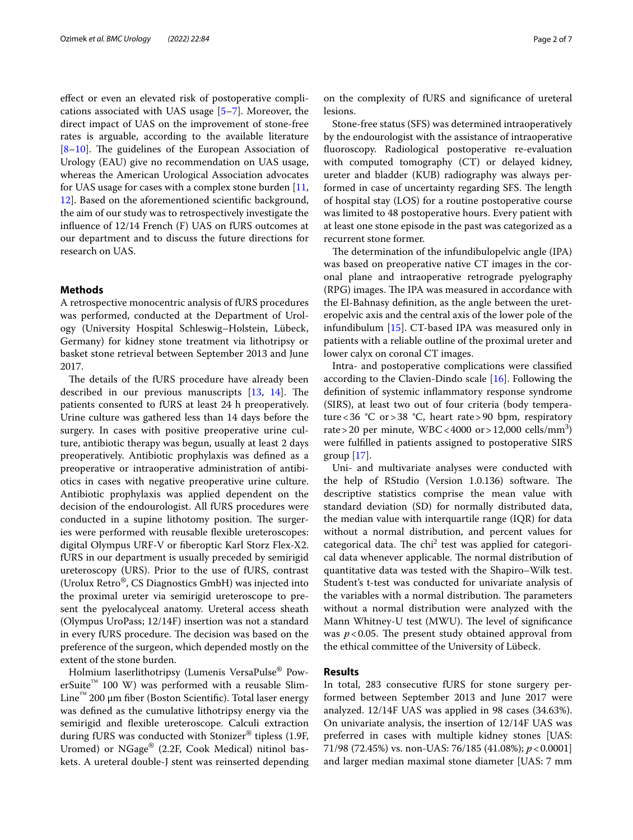efect or even an elevated risk of postoperative complications associated with UAS usage [[5–](#page-6-3)[7\]](#page-6-4). Moreover, the direct impact of UAS on the improvement of stone-free rates is arguable, according to the available literature  $[8-10]$  $[8-10]$ . The guidelines of the European Association of Urology (EAU) give no recommendation on UAS usage, whereas the American Urological Association advocates for UAS usage for cases with a complex stone burden [\[11](#page-6-7), [12\]](#page-6-8). Based on the aforementioned scientifc background, the aim of our study was to retrospectively investigate the infuence of 12/14 French (F) UAS on fURS outcomes at our department and to discuss the future directions for research on UAS.

#### **Methods**

A retrospective monocentric analysis of fURS procedures was performed, conducted at the Department of Urology (University Hospital Schleswig–Holstein, Lübeck, Germany) for kidney stone treatment via lithotripsy or basket stone retrieval between September 2013 and June 2017.

The details of the fURS procedure have already been described in our previous manuscripts  $[13, 14]$  $[13, 14]$  $[13, 14]$  $[13, 14]$ . The patients consented to fURS at least 24 h preoperatively. Urine culture was gathered less than 14 days before the surgery. In cases with positive preoperative urine culture, antibiotic therapy was begun, usually at least 2 days preoperatively. Antibiotic prophylaxis was defned as a preoperative or intraoperative administration of antibiotics in cases with negative preoperative urine culture. Antibiotic prophylaxis was applied dependent on the decision of the endourologist. All fURS procedures were conducted in a supine lithotomy position. The surgeries were performed with reusable fexible ureteroscopes: digital Olympus URF-V or fberoptic Karl Storz Flex-X2. fURS in our department is usually preceded by semirigid ureteroscopy (URS). Prior to the use of fURS, contrast (Urolux Retro®, CS Diagnostics GmbH) was injected into the proximal ureter via semirigid ureteroscope to present the pyelocalyceal anatomy. Ureteral access sheath (Olympus UroPass; 12/14F) insertion was not a standard in every fURS procedure. The decision was based on the preference of the surgeon, which depended mostly on the extent of the stone burden.

Holmium laserlithotripsy (Lumenis VersaPulse® PowerSuite<sup>™</sup> 100 W) was performed with a reusable Slim-Line™ 200 μm fber (Boston Scientifc). Total laser energy was defned as the cumulative lithotripsy energy via the semirigid and fexible ureteroscope. Calculi extraction during fURS was conducted with Stonizer® tipless (1.9F, Uromed) or NGage® (2.2F, Cook Medical) nitinol baskets. A ureteral double-J stent was reinserted depending on the complexity of fURS and signifcance of ureteral lesions.

Stone-free status (SFS) was determined intraoperatively by the endourologist with the assistance of intraoperative fuoroscopy. Radiological postoperative re-evaluation with computed tomography (CT) or delayed kidney, ureter and bladder (KUB) radiography was always performed in case of uncertainty regarding SFS. The length of hospital stay (LOS) for a routine postoperative course was limited to 48 postoperative hours. Every patient with at least one stone episode in the past was categorized as a recurrent stone former.

The determination of the infundibulopelvic angle (IPA) was based on preoperative native CT images in the coronal plane and intraoperative retrograde pyelography (RPG) images. The IPA was measured in accordance with the El-Bahnasy defnition, as the angle between the ureteropelvic axis and the central axis of the lower pole of the infundibulum [[15](#page-6-11)]. CT-based IPA was measured only in patients with a reliable outline of the proximal ureter and lower calyx on coronal CT images.

Intra- and postoperative complications were classifed according to the Clavien-Dindo scale [\[16](#page-6-12)]. Following the defnition of systemic infammatory response syndrome (SIRS), at least two out of four criteria (body temperature < 36 °C or > 38 °C, heart rate > 90 bpm, respiratory rate > 20 per minute,  $WBC < 4000$  or > 12,000 cells/mm<sup>3</sup>) were fulflled in patients assigned to postoperative SIRS group  $[17]$  $[17]$ .

Uni- and multivariate analyses were conducted with the help of RStudio (Version 1.0.136) software. The descriptive statistics comprise the mean value with standard deviation (SD) for normally distributed data, the median value with interquartile range (IQR) for data without a normal distribution, and percent values for categorical data. The  $chi^2$  test was applied for categorical data whenever applicable. The normal distribution of quantitative data was tested with the Shapiro–Wilk test. Student's t-test was conducted for univariate analysis of the variables with a normal distribution. The parameters without a normal distribution were analyzed with the Mann Whitney-U test (MWU). The level of significance was  $p < 0.05$ . The present study obtained approval from the ethical committee of the University of Lübeck.

### **Results**

In total, 283 consecutive fURS for stone surgery performed between September 2013 and June 2017 were analyzed. 12/14F UAS was applied in 98 cases (34.63%). On univariate analysis, the insertion of 12/14F UAS was preferred in cases with multiple kidney stones [UAS: 71/98 (72.45%) vs. non-UAS: 76/185 (41.08%); *p*<0.0001] and larger median maximal stone diameter [UAS: 7 mm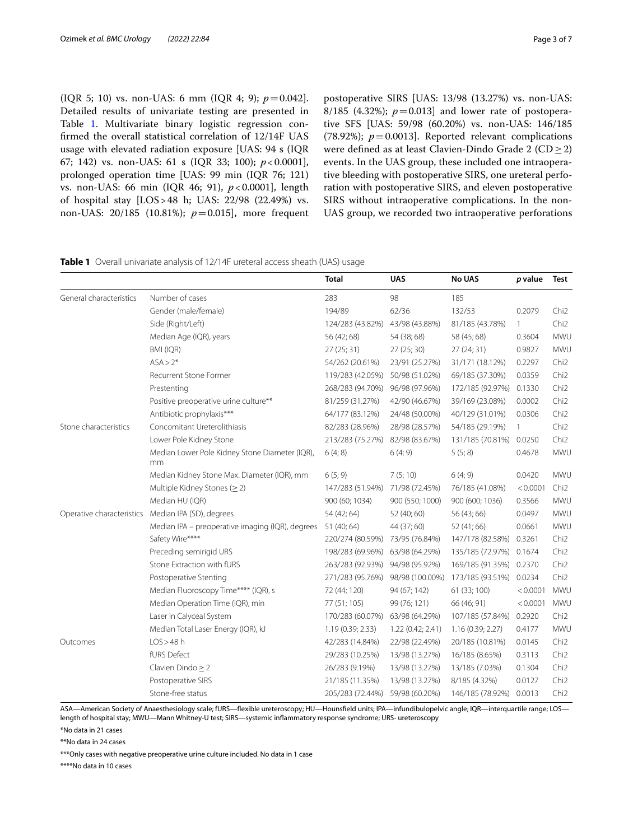(IQR 5; 10) vs. non-UAS: 6 mm (IQR 4; 9);  $p = 0.042$ ]. Detailed results of univariate testing are presented in Table [1](#page-2-0). Multivariate binary logistic regression confrmed the overall statistical correlation of 12/14F UAS usage with elevated radiation exposure [UAS: 94 s (IQR 67; 142) vs. non-UAS: 61 s (IQR 33; 100); *p*<0.0001], prolonged operation time [UAS: 99 min (IQR 76; 121) vs. non-UAS: 66 min (IQR 46; 91), *p*<0.0001], length of hospital stay [LOS>48 h; UAS: 22/98 (22.49%) vs. non-UAS: 20/185 (10.81%); *p*=0.015], more frequent postoperative SIRS [UAS: 13/98 (13.27%) vs. non-UAS: 8/185 (4.32%);  $p = 0.013$  and lower rate of postoperative SFS [UAS: 59/98 (60.20%) vs. non-UAS: 146/185 (78.92%);  $p=0.0013$ ]. Reported relevant complications were defned as at least Clavien-Dindo Grade 2 (CD≥2) events. In the UAS group, these included one intraoperative bleeding with postoperative SIRS, one ureteral perforation with postoperative SIRS, and eleven postoperative SIRS without intraoperative complications. In the non-UAS group, we recorded two intraoperative perforations

<span id="page-2-0"></span>

|  | Table 1 Overall univariate analysis of 12/14F ureteral access sheath (UAS) usage |  |  |  |  |
|--|----------------------------------------------------------------------------------|--|--|--|--|
|--|----------------------------------------------------------------------------------|--|--|--|--|

|                         |                                                      | <b>Total</b>                    | <b>UAS</b>       | <b>No UAS</b>           | p value  | Test             |
|-------------------------|------------------------------------------------------|---------------------------------|------------------|-------------------------|----------|------------------|
| General characteristics | Number of cases                                      | 283                             | 98               | 185                     |          |                  |
|                         | Gender (male/female)                                 | 194/89                          | 62/36            | 132/53                  | 0.2079   | Chi <sub>2</sub> |
|                         | Side (Right/Left)                                    | 124/283 (43.82%)                | 43/98 (43.88%)   | 81/185 (43.78%)         | 1        | Chi <sub>2</sub> |
|                         | Median Age (IQR), years                              | 56 (42; 68)                     | 54 (38; 68)      | 58 (45; 68)             | 0.3604   | MWU              |
|                         | BMI (IQR)                                            | 27(25; 31)                      | 27(25; 30)       | 27(24; 31)              | 0.9827   | MWU              |
|                         | $ASA > 2*$                                           | 54/262 (20.61%)                 | 23/91 (25.27%)   | 31/171 (18.12%)         | 0.2297   | Chi <sub>2</sub> |
|                         | Recurrent Stone Former                               | 119/283 (42.05%)                | 50/98 (51.02%)   | 69/185 (37.30%)         | 0.0359   | Chi <sub>2</sub> |
|                         | Prestenting                                          | 268/283 (94.70%)                | 96/98 (97.96%)   | 172/185 (92.97%)        | 0.1330   | Chi <sub>2</sub> |
|                         | Positive preoperative urine culture**                | 81/259 (31.27%)                 | 42/90 (46.67%)   | 39/169 (23.08%)         | 0.0002   | Chi <sub>2</sub> |
|                         | Antibiotic prophylaxis***                            | 64/177 (83.12%)                 | 24/48 (50.00%)   | 40/129 (31.01%)         | 0.0306   | Chi <sub>2</sub> |
| Stone characteristics   | Concomitant Ureterolithiasis                         | 82/283 (28.96%)                 | 28/98 (28.57%)   | 54/185 (29.19%)         | 1        | Chi <sub>2</sub> |
|                         | Lower Pole Kidney Stone                              | 213/283 (75.27%)                | 82/98 (83.67%)   | 131/185 (70.81%)        | 0.0250   | Chi <sub>2</sub> |
|                         | Median Lower Pole Kidney Stone Diameter (IQR),<br>mm | 6(4; 8)                         | 6(4; 9)          | 5(5; 8)                 | 0.4678   | MWU              |
|                         | Median Kidney Stone Max. Diameter (IQR), mm          | 6(5; 9)                         | 7(5;10)          | 6(4; 9)                 | 0.0420   | MWU              |
|                         | Multiple Kidney Stones ( $\geq$ 2)                   | 147/283 (51.94%)                | 71/98 (72.45%)   | 76/185 (41.08%)         | < 0.0001 | Chi <sub>2</sub> |
|                         | Median HU (IQR)                                      | 900 (60; 1034)                  | 900 (550; 1000)  | 900 (600; 1036)         | 0.3566   | MWU              |
|                         | Operative characteristics Median IPA (SD), degrees   | 54 (42; 64)                     | 52 (40; 60)      | 56 (43; 66)             | 0.0497   | MWU              |
|                         | Median IPA - preoperative imaging (IQR), degrees     | 51 (40; 64)                     | 44 (37; 60)      | 52 (41; 66)             | 0.0661   | MWU              |
|                         | Safety Wire****                                      | 220/274 (80.59%)                | 73/95 (76.84%)   | 147/178 (82.58%)        | 0.3261   | Chi <sub>2</sub> |
|                         | Preceding semirigid URS                              | 198/283 (69.96%) 63/98 (64.29%) |                  | 135/185 (72.97%)        | 0.1674   | Chi <sub>2</sub> |
|                         | Stone Extraction with fURS                           | 263/283 (92.93%)                | 94/98 (95.92%)   | 169/185 (91.35%) 0.2370 |          | Chi <sub>2</sub> |
|                         | Postoperative Stenting                               | 271/283 (95.76%)                | 98/98 (100.00%)  | 173/185 (93.51%)        | 0.0234   | Chi <sub>2</sub> |
|                         | Median Fluoroscopy Time**** (IQR), s                 | 72 (44; 120)                    | 94 (67; 142)     | 61 (33; 100)            | < 0.0001 | <b>MWU</b>       |
|                         | Median Operation Time (IQR), min                     | 77 (51; 105)                    | 99 (76; 121)     | 66 (46; 91)             | < 0.0001 | MWU              |
|                         | Laser in Calyceal System                             | 170/283 (60.07%)                | 63/98 (64.29%)   | 107/185 (57.84%)        | 0.2920   | Chi <sub>2</sub> |
|                         | Median Total Laser Energy (IQR), kJ                  | 1.19(0.39; 2.33)                | 1.22(0.42; 2.41) | 1.16 (0.39; 2.27)       | 0.4177   | MWU              |
| Outcomes                | LOS > 48h                                            | 42/283 (14.84%)                 | 22/98 (22.49%)   | 20/185 (10.81%)         | 0.0145   | Chi <sub>2</sub> |
|                         | fURS Defect                                          | 29/283 (10.25%)                 | 13/98 (13.27%)   | 16/185 (8.65%)          | 0.3113   | Chi <sub>2</sub> |
|                         | Clavien Dindo $\geq$ 2                               | 26/283 (9.19%)                  | 13/98 (13.27%)   | 13/185 (7.03%)          | 0.1304   | Chi <sub>2</sub> |
|                         | Postoperative SIRS                                   | 21/185 (11.35%)                 | 13/98 (13.27%)   | 8/185 (4.32%)           | 0.0127   | Chi <sub>2</sub> |
|                         | Stone-free status                                    | 205/283 (72.44%)                | 59/98 (60.20%)   | 146/185 (78.92%)        | 0.0013   | Chi <sub>2</sub> |
|                         |                                                      |                                 |                  |                         |          |                  |

ASA—American Society of Anaesthesiology scale; fURS—fexible ureteroscopy; HU—Hounsfeld units; IPA—infundibulopelvic angle; IQR—interquartile range; LOS length of hospital stay; MWU—Mann Whitney-U test; SIRS—systemic infammatory response syndrome; URS- ureteroscopy

\*No data in 21 cases

\*\*No data in 24 cases

\*\*\*Only cases with negative preoperative urine culture included. No data in 1 case

\*\*\*\*No data in 10 cases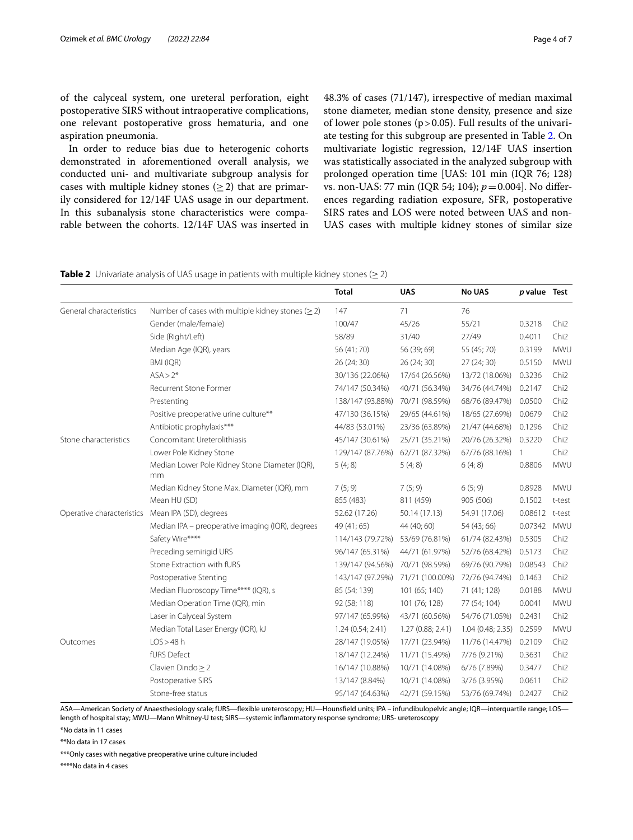of the calyceal system, one ureteral perforation, eight postoperative SIRS without intraoperative complications, one relevant postoperative gross hematuria, and one aspiration pneumonia.

In order to reduce bias due to heterogenic cohorts demonstrated in aforementioned overall analysis, we conducted uni- and multivariate subgroup analysis for cases with multiple kidney stones  $(>2)$  that are primarily considered for 12/14F UAS usage in our department. In this subanalysis stone characteristics were comparable between the cohorts. 12/14F UAS was inserted in 48.3% of cases (71/147), irrespective of median maximal stone diameter, median stone density, presence and size of lower pole stones ( $p > 0.05$ ). Full results of the univariate testing for this subgroup are presented in Table [2.](#page-3-0) On multivariate logistic regression, 12/14F UAS insertion was statistically associated in the analyzed subgroup with prolonged operation time [UAS: 101 min (IQR 76; 128) vs. non-UAS: 77 min (IQR 54; 104); *p*=0.004]. No diferences regarding radiation exposure, SFR, postoperative SIRS rates and LOS were noted between UAS and non-UAS cases with multiple kidney stones of similar size

<span id="page-3-0"></span>

|  |  | <b>Table 2</b> Univariate analysis of UAS usage in patients with multiple kidney stones ( $\geq$ 2) |  |  |  |  |  |  |  |  |  |
|--|--|-----------------------------------------------------------------------------------------------------|--|--|--|--|--|--|--|--|--|
|--|--|-----------------------------------------------------------------------------------------------------|--|--|--|--|--|--|--|--|--|

|                                                         | <b>Total</b>     | <b>UAS</b>       | <b>No UAS</b>  |              |                                                            |
|---------------------------------------------------------|------------------|------------------|----------------|--------------|------------------------------------------------------------|
| Number of cases with multiple kidney stones ( $\geq$ 2) | 147              | 71               | 76             |              |                                                            |
| Gender (male/female)                                    | 100/47           | 45/26            | 55/21          | 0.3218       | Chi <sub>2</sub>                                           |
| Side (Right/Left)                                       | 58/89            | 31/40            | 27/49          | 0.4011       | Chi <sub>2</sub>                                           |
| Median Age (IQR), years                                 | 56 (41; 70)      | 56 (39; 69)      | 55 (45; 70)    | 0.3199       | MWU                                                        |
| BMI (IQR)                                               | 26 (24; 30)      | 26 (24; 30)      | 27(24; 30)     | 0.5150       | MWU                                                        |
| $ASA > 2*$                                              | 30/136 (22.06%)  | 17/64 (26.56%)   | 13/72 (18.06%) | 0.3236       | Chi <sub>2</sub>                                           |
| <b>Recurrent Stone Former</b>                           | 74/147 (50.34%)  | 40/71 (56.34%)   | 34/76 (44.74%) | 0.2147       | Chi <sub>2</sub>                                           |
| Prestenting                                             | 138/147 (93.88%) | 70/71 (98.59%)   | 68/76 (89.47%) | 0.0500       | Chi <sub>2</sub>                                           |
| Positive preoperative urine culture**                   | 47/130 (36.15%)  | 29/65 (44.61%)   | 18/65 (27.69%) | 0.0679       | Chi <sub>2</sub>                                           |
| Antibiotic prophylaxis***                               | 44/83 (53.01%)   | 23/36 (63.89%)   | 21/47 (44.68%) | 0.1296       | Chi <sub>2</sub>                                           |
| Concomitant Ureterolithiasis                            | 45/147 (30.61%)  | 25/71 (35.21%)   | 20/76 (26.32%) | 0.3220       | Chi <sub>2</sub>                                           |
| Lower Pole Kidney Stone                                 | 129/147 (87.76%) | 62/71 (87.32%)   | 67/76 (88.16%) | $\mathbf{1}$ | Chi <sub>2</sub>                                           |
| Median Lower Pole Kidney Stone Diameter (IQR),<br>mm    | 5(4; 8)          | 5(4; 8)          | 6(4; 8)        | 0.8806       | MWU                                                        |
| Median Kidney Stone Max. Diameter (IQR), mm             | 7(5; 9)          | 7(5; 9)          | 6(5; 9)        | 0.8928       | MWU                                                        |
| Mean HU (SD)                                            | 855 (483)        | 811 (459)        | 905 (506)      | 0.1502       | t-test                                                     |
| Operative characteristics  Mean IPA (SD), degrees       | 52.62 (17.26)    | 50.14 (17.13)    | 54.91 (17.06)  |              |                                                            |
| Median IPA - preoperative imaging (IQR), degrees        | 49 (41; 65)      | 44 (40; 60)      | 54 (43; 66)    | 0.07342      | <b>MWU</b>                                                 |
| Safety Wire****                                         | 114/143 (79.72%) | 53/69 (76.81%)   | 61/74 (82.43%) | 0.5305       | Chi <sub>2</sub>                                           |
| Preceding semirigid URS                                 | 96/147 (65.31%)  | 44/71 (61.97%)   | 52/76 (68.42%) | 0.5173       | Chi <sub>2</sub>                                           |
| Stone Extraction with fURS                              | 139/147 (94.56%) | 70/71 (98.59%)   | 69/76 (90.79%) | 0.08543      | Chi <sub>2</sub>                                           |
| Postoperative Stenting                                  | 143/147 (97.29%) | 71/71 (100.00%)  | 72/76 (94.74%) | 0.1463       | Chi <sub>2</sub>                                           |
| Median Fluoroscopy Time**** (IQR), s                    | 85 (54; 139)     | 101 (65; 140)    | 71 (41; 128)   | 0.0188       | <b>MWU</b>                                                 |
| Median Operation Time (IQR), min                        | 92 (58; 118)     | 101 (76; 128)    | 77 (54; 104)   | 0.0041       | <b>MWU</b>                                                 |
| Laser in Calyceal System                                | 97/147 (65.99%)  | 43/71 (60.56%)   | 54/76 (71.05%) | 0.2431       | Chi <sub>2</sub>                                           |
| Median Total Laser Energy (IQR), kJ                     | 1.24(0.54; 2.41) | 1.27(0.88; 2.41) |                | 0.2599       | <b>MWU</b>                                                 |
| LOS > 48 h                                              | 28/147 (19.05%)  | 17/71 (23.94%)   | 11/76 (14.47%) | 0.2109       | Chi <sub>2</sub>                                           |
| fURS Defect                                             | 18/147 (12.24%)  | 11/71 (15.49%)   | 7/76 (9.21%)   | 0.3631       | Chi <sub>2</sub>                                           |
| Clavien Dindo $\geq$ 2                                  | 16/147 (10.88%)  | 10/71 (14.08%)   | 6/76 (7.89%)   | 0.3477       | Chi <sub>2</sub>                                           |
| Postoperative SIRS                                      | 13/147 (8.84%)   | 10/71 (14.08%)   | 3/76 (3.95%)   | 0.0611       | Chi <sub>2</sub>                                           |
| Stone-free status                                       | 95/147 (64.63%)  | 42/71 (59.15%)   | 53/76 (69.74%) | 0.2427       | Chi <sub>2</sub>                                           |
|                                                         |                  |                  |                |              | <i>p</i> value Test<br>0.08612 t-test<br>1.04 (0.48; 2.35) |

ASA—American Society of Anaesthesiology scale; fURS—fexible ureteroscopy; HU—Hounsfeld units; IPA – infundibulopelvic angle; IQR—interquartile range; LOS length of hospital stay; MWU—Mann Whitney-U test; SIRS—systemic infammatory response syndrome; URS- ureteroscopy

\*No data in 11 cases

\*\*No data in 17 cases

\*\*\*Only cases with negative preoperative urine culture included

\*\*\*\*No data in 4 cases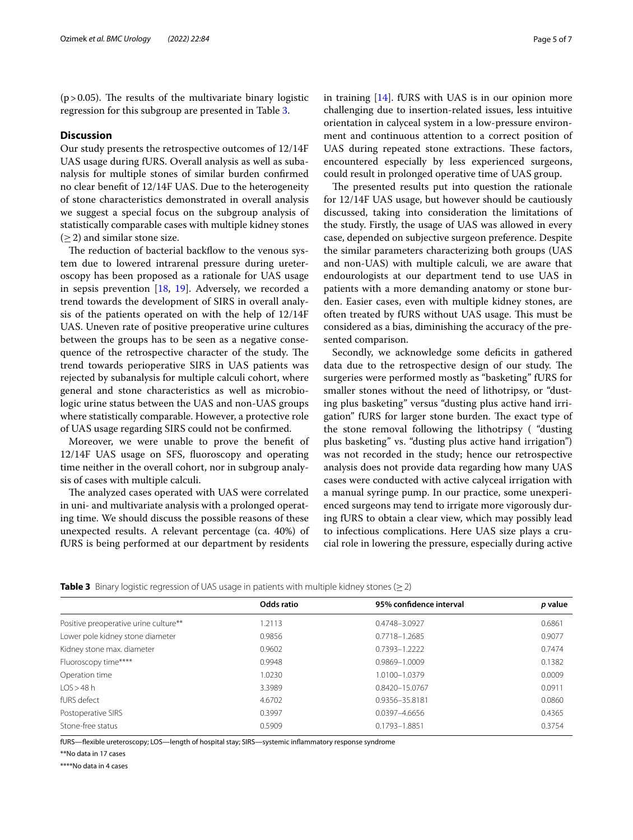( $p > 0.05$ ). The results of the multivariate binary logistic regression for this subgroup are presented in Table [3.](#page-4-0)

#### **Discussion**

Our study presents the retrospective outcomes of 12/14F UAS usage during fURS. Overall analysis as well as subanalysis for multiple stones of similar burden confrmed no clear beneft of 12/14F UAS. Due to the heterogeneity of stone characteristics demonstrated in overall analysis we suggest a special focus on the subgroup analysis of statistically comparable cases with multiple kidney stones  $(>2)$  and similar stone size.

The reduction of bacterial backflow to the venous system due to lowered intrarenal pressure during ureteroscopy has been proposed as a rationale for UAS usage in sepsis prevention [[18](#page-6-14), [19\]](#page-6-15). Adversely, we recorded a trend towards the development of SIRS in overall analysis of the patients operated on with the help of 12/14F UAS. Uneven rate of positive preoperative urine cultures between the groups has to be seen as a negative consequence of the retrospective character of the study. The trend towards perioperative SIRS in UAS patients was rejected by subanalysis for multiple calculi cohort, where general and stone characteristics as well as microbiologic urine status between the UAS and non-UAS groups where statistically comparable. However, a protective role of UAS usage regarding SIRS could not be confrmed.

Moreover, we were unable to prove the beneft of 12/14F UAS usage on SFS, fuoroscopy and operating time neither in the overall cohort, nor in subgroup analysis of cases with multiple calculi.

The analyzed cases operated with UAS were correlated in uni- and multivariate analysis with a prolonged operating time. We should discuss the possible reasons of these unexpected results. A relevant percentage (ca. 40%) of fURS is being performed at our department by residents

in training [\[14](#page-6-10)]. fURS with UAS is in our opinion more challenging due to insertion-related issues, less intuitive orientation in calyceal system in a low-pressure environment and continuous attention to a correct position of UAS during repeated stone extractions. These factors, encountered especially by less experienced surgeons, could result in prolonged operative time of UAS group.

The presented results put into question the rationale for 12/14F UAS usage, but however should be cautiously discussed, taking into consideration the limitations of the study. Firstly, the usage of UAS was allowed in every case, depended on subjective surgeon preference. Despite the similar parameters characterizing both groups (UAS and non-UAS) with multiple calculi, we are aware that endourologists at our department tend to use UAS in patients with a more demanding anatomy or stone burden. Easier cases, even with multiple kidney stones, are often treated by fURS without UAS usage. This must be considered as a bias, diminishing the accuracy of the presented comparison.

Secondly, we acknowledge some deficits in gathered data due to the retrospective design of our study. The surgeries were performed mostly as "basketing" fURS for smaller stones without the need of lithotripsy, or "dusting plus basketing" versus "dusting plus active hand irrigation" fURS for larger stone burden. The exact type of the stone removal following the lithotripsy ( "dusting plus basketing" vs. "dusting plus active hand irrigation") was not recorded in the study; hence our retrospective analysis does not provide data regarding how many UAS cases were conducted with active calyceal irrigation with a manual syringe pump. In our practice, some unexperienced surgeons may tend to irrigate more vigorously during fURS to obtain a clear view, which may possibly lead to infectious complications. Here UAS size plays a crucial role in lowering the pressure, especially during active

```
Table 3 Binary logistic regression of UAS usage in patients with multiple kidney stones (≥2)
```

|                                       | Odds ratio | 95% confidence interval | p value |
|---------------------------------------|------------|-------------------------|---------|
| Positive preoperative urine culture** | 1.2113     | 0.4748-3.0927           | 0.6861  |
| Lower pole kidney stone diameter      | 0.9856     | 0.7718-1.2685           | 0.9077  |
| Kidney stone max. diameter            | 0.9602     | 0.7393-1.2222           | 0.7474  |
| Fluoroscopy time****                  | 0.9948     | 0.9869-1.0009           | 0.1382  |
| Operation time                        | 1.0230     | 1.0100-1.0379           | 0.0009  |
| LOS > 48 h                            | 3.3989     | 0.8420-15.0767          | 0.0911  |
| fURS defect                           | 4.6702     | 0.9356-35.8181          | 0.0860  |
| Postoperative SIRS                    | 0.3997     | $0.0397 - 4.6656$       | 0.4365  |
| Stone-free status                     | 0.5909     | 0.1793-1.8851           | 0.3754  |
|                                       |            |                         |         |

fURS—fexible ureteroscopy; LOS—length of hospital stay; SIRS—systemic infammatory response syndrome

\*\*No data in 17 cases

\*\*\*\*No data in 4 cases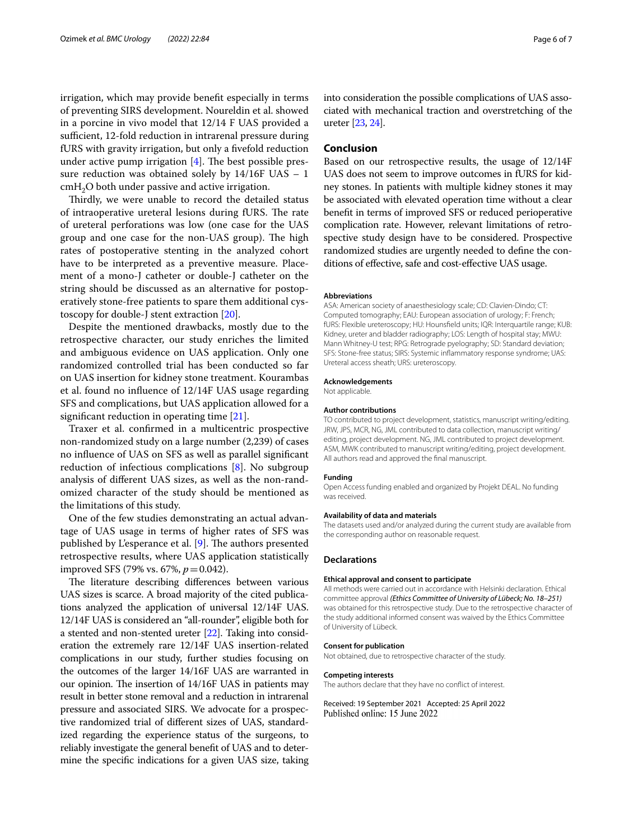irrigation, which may provide beneft especially in terms of preventing SIRS development. Noureldin et al. showed in a porcine in vivo model that 12/14 F UAS provided a sufficient, 12-fold reduction in intrarenal pressure during fURS with gravity irrigation, but only a fvefold reduction under active pump irrigation  $[4]$  $[4]$ . The best possible pressure reduction was obtained solely by 14/16F UAS – 1  $cmH<sub>2</sub>O$  both under passive and active irrigation.

Thirdly, we were unable to record the detailed status of intraoperative ureteral lesions during fURS. The rate of ureteral perforations was low (one case for the UAS group and one case for the non-UAS group). The high rates of postoperative stenting in the analyzed cohort have to be interpreted as a preventive measure. Placement of a mono-J catheter or double-J catheter on the string should be discussed as an alternative for postoperatively stone-free patients to spare them additional cystoscopy for double-J stent extraction [\[20\]](#page-6-16).

Despite the mentioned drawbacks, mostly due to the retrospective character, our study enriches the limited and ambiguous evidence on UAS application. Only one randomized controlled trial has been conducted so far on UAS insertion for kidney stone treatment. Kourambas et al. found no infuence of 12/14F UAS usage regarding SFS and complications, but UAS application allowed for a signifcant reduction in operating time [\[21](#page-6-17)].

Traxer et al. confrmed in a multicentric prospective non-randomized study on a large number (2,239) of cases no infuence of UAS on SFS as well as parallel signifcant reduction of infectious complications [\[8](#page-6-5)]. No subgroup analysis of diferent UAS sizes, as well as the non-randomized character of the study should be mentioned as the limitations of this study.

One of the few studies demonstrating an actual advantage of UAS usage in terms of higher rates of SFS was published by L'esperance et al. [[9\]](#page-6-18). The authors presented retrospective results, where UAS application statistically improved SFS (79% vs. 67%, *p*=0.042).

The literature describing differences between various UAS sizes is scarce. A broad majority of the cited publications analyzed the application of universal 12/14F UAS. 12/14F UAS is considered an "all-rounder", eligible both for a stented and non-stented ureter [[22](#page-6-19)]. Taking into consideration the extremely rare 12/14F UAS insertion-related complications in our study, further studies focusing on the outcomes of the larger 14/16F UAS are warranted in our opinion. The insertion of 14/16F UAS in patients may result in better stone removal and a reduction in intrarenal pressure and associated SIRS. We advocate for a prospective randomized trial of diferent sizes of UAS, standardized regarding the experience status of the surgeons, to reliably investigate the general beneft of UAS and to determine the specifc indications for a given UAS size, taking into consideration the possible complications of UAS associated with mechanical traction and overstretching of the ureter [\[23,](#page-6-20) [24](#page-6-21)].

#### **Conclusion**

Based on our retrospective results, the usage of 12/14F UAS does not seem to improve outcomes in fURS for kidney stones. In patients with multiple kidney stones it may be associated with elevated operation time without a clear beneft in terms of improved SFS or reduced perioperative complication rate. However, relevant limitations of retrospective study design have to be considered. Prospective randomized studies are urgently needed to defne the conditions of efective, safe and cost-efective UAS usage.

#### **Abbreviations**

ASA: American society of anaesthesiology scale; CD: Clavien-Dindo; CT: Computed tomography; EAU: European association of urology; F: French; fURS: Flexible ureteroscopy; HU: Hounsfeld units; IQR: Interquartile range; KUB: Kidney, ureter and bladder radiography; LOS: Length of hospital stay; MWU: Mann Whitney-U test; RPG: Retrograde pyelography; SD: Standard deviation; SFS: Stone-free status; SIRS: Systemic infammatory response syndrome; UAS: Ureteral access sheath; URS: ureteroscopy.

#### **Acknowledgements**

Not applicable.

#### **Author contributions**

TO contributed to project development, statistics, manuscript writing/editing. JRW, JPS, MCR, NG, JML contributed to data collection, manuscript writing/ editing, project development. NG, JML contributed to project development. ASM, MWK contributed to manuscript writing/editing, project development. All authors read and approved the fnal manuscript.

#### **Funding**

Open Access funding enabled and organized by Projekt DEAL. No funding was received.

#### **Availability of data and materials**

The datasets used and/or analyzed during the current study are available from the corresponding author on reasonable request.

#### **Declarations**

#### **Ethical approval and consent to participate**

All methods were carried out in accordance with Helsinki declaration. Ethical committee approval *(Ethics Committee of University of Lübeck; No. 18–251)* was obtained for this retrospective study. Due to the retrospective character of the study additional informed consent was waived by the Ethics Committee of University of Lübeck.

#### **Consent for publication**

Not obtained, due to retrospective character of the study.

#### **Competing interests**

The authors declare that they have no confict of interest.

Received: 19 September 2021 Accepted: 25 April 2022